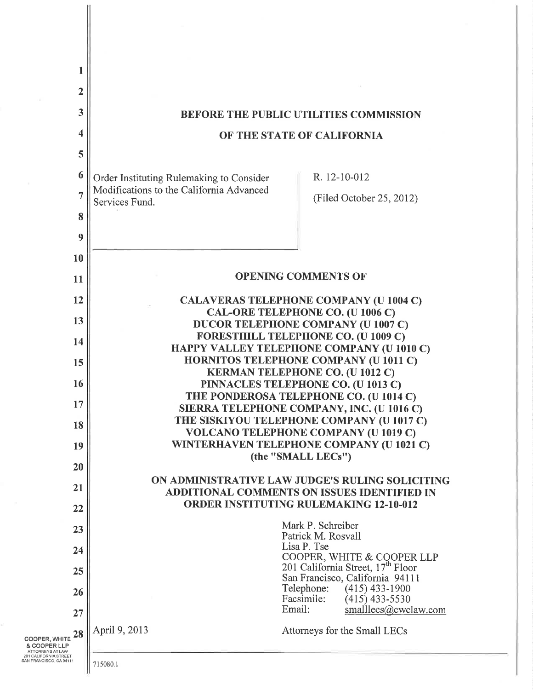| 1                                                                    |                                                            |                                                                                                       |  |
|----------------------------------------------------------------------|------------------------------------------------------------|-------------------------------------------------------------------------------------------------------|--|
| $\overline{2}$                                                       |                                                            |                                                                                                       |  |
| 3                                                                    |                                                            | <b>BEFORE THE PUBLIC UTILITIES COMMISSION</b>                                                         |  |
| 4                                                                    |                                                            | OF THE STATE OF CALIFORNIA                                                                            |  |
| 5                                                                    |                                                            |                                                                                                       |  |
| 6                                                                    | Order Instituting Rulemaking to Consider                   | R. 12-10-012                                                                                          |  |
| $\overline{7}$                                                       | Modifications to the California Advanced<br>Services Fund. | (Filed October 25, 2012)                                                                              |  |
| 8                                                                    |                                                            |                                                                                                       |  |
| 9                                                                    |                                                            |                                                                                                       |  |
| 10                                                                   |                                                            |                                                                                                       |  |
| 11                                                                   |                                                            | <b>OPENING COMMENTS OF</b>                                                                            |  |
| 12                                                                   |                                                            | <b>CALAVERAS TELEPHONE COMPANY (U 1004 C)</b><br>CAL-ORE TELEPHONE CO. (U 1006 C)                     |  |
| 13                                                                   |                                                            | <b>DUCOR TELEPHONE COMPANY (U 1007 C)</b><br>FORESTHILL TELEPHONE CO. (U 1009 C)                      |  |
| 14<br>15                                                             |                                                            | HAPPY VALLEY TELEPHONE COMPANY (U 1010 C)<br><b>HORNITOS TELEPHONE COMPANY (U 1011 C)</b>             |  |
| 16                                                                   |                                                            | <b>KERMAN TELEPHONE CO. (U 1012 C)</b><br>PINNACLES TELEPHONE CO. (U 1013 C)                          |  |
| 17                                                                   |                                                            | THE PONDEROSA TELEPHONE CO. (U 1014 C)                                                                |  |
| 18                                                                   |                                                            | SIERRA TELEPHONE COMPANY, INC. (U 1016 C)<br>THE SISKIYOU TELEPHONE COMPANY (U 1017 C)                |  |
| 19                                                                   |                                                            | <b>VOLCANO TELEPHONE COMPANY (U 1019 C)</b><br>WINTERHAVEN TELEPHONE COMPANY (U 1021 C)               |  |
| 20                                                                   |                                                            | (the "SMALL LECs")                                                                                    |  |
| 21                                                                   |                                                            | ON ADMINISTRATIVE LAW JUDGE'S RULING SOLICITING<br><b>ADDITIONAL COMMENTS ON ISSUES IDENTIFIED IN</b> |  |
| 22                                                                   |                                                            | <b>ORDER INSTITUTING RULEMAKING 12-10-012</b>                                                         |  |
| 23                                                                   |                                                            | Mark P. Schreiber<br>Patrick M. Rosvall                                                               |  |
| 24                                                                   |                                                            | Lisa P. Tse<br>COOPER, WHITE & COOPER LLP                                                             |  |
| 25                                                                   |                                                            | 201 California Street, 17 <sup>th</sup> Floor<br>San Francisco, California 94111                      |  |
| 26                                                                   |                                                            | Telephone:<br>$(415)$ 433-1900<br>Facsimile:<br>$(415)$ 433-5530                                      |  |
| 27                                                                   |                                                            | Email:<br>smalllecs@cwclaw.com                                                                        |  |
| 28<br><b>COOPER, WHITE</b><br>& COOPER LLP                           | April 9, 2013                                              | Attorneys for the Small LECs                                                                          |  |
| ATTORNEYS AT LAW<br>201 CALIFORNIA STREET<br>SAN FRANCISCO. CA 94111 |                                                            |                                                                                                       |  |

 $\left\| \right\|$  715080.1

닺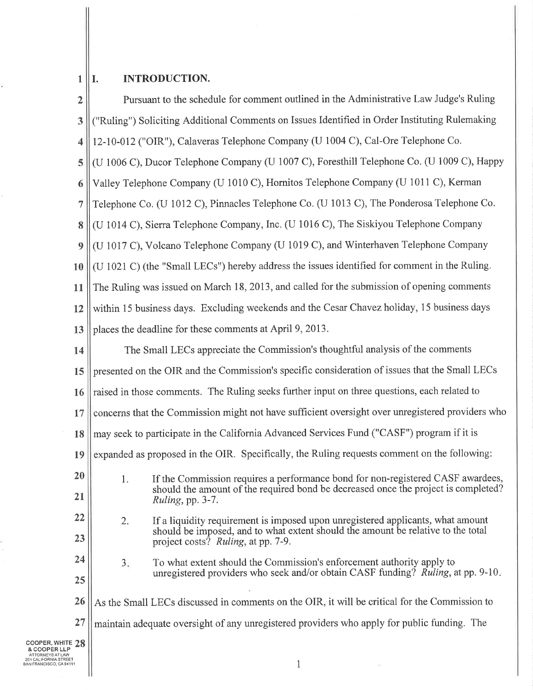## $1||1$ INTRODUCTION.

 $\ddot{\phantom{0}}$ 

î.

| $\overline{2}$                                  | Pursuant to the schedule for comment outlined in the Administrative Law Judge's Ruling                                                                          |  |
|-------------------------------------------------|-----------------------------------------------------------------------------------------------------------------------------------------------------------------|--|
| 3                                               | "Ruling") Soliciting Additional Comments on Issues Identified in Order Instituting Rulemaking                                                                   |  |
| $\overline{\mathbf{4}}$                         | 12-10-012 ("OIR"), Calaveras Telephone Company (U 1004 C), Cal-Ore Telephone Co.                                                                                |  |
| 5                                               | (U 1006 C), Ducor Telephone Company (U 1007 C), Foresthill Telephone Co. (U 1009 C), Happy                                                                      |  |
| 6                                               | Valley Telephone Company (U 1010 C), Hornitos Telephone Company (U 1011 C), Kerman                                                                              |  |
| $\overline{7}$                                  | Telephone Co. (U 1012 C), Pinnacles Telephone Co. (U 1013 C), The Ponderosa Telephone Co.                                                                       |  |
| 8                                               | (U 1014 C), Sierra Telephone Company, Inc. (U 1016 C), The Siskiyou Telephone Company                                                                           |  |
| 9                                               | (U 1017 C), Volcano Telephone Company (U 1019 C), and Winterhaven Telephone Company                                                                             |  |
| 10                                              | (U 1021 C) (the "Small LECs") hereby address the issues identified for comment in the Ruling.                                                                   |  |
| 11                                              | The Ruling was issued on March 18, 2013, and called for the submission of opening comments                                                                      |  |
| 12                                              | within 15 business days. Excluding weekends and the Cesar Chavez holiday, 15 business days                                                                      |  |
| 13                                              | places the deadline for these comments at April 9, 2013.                                                                                                        |  |
| 14                                              | The Small LECs appreciate the Commission's thoughtful analysis of the comments                                                                                  |  |
| 15                                              | presented on the OIR and the Commission's specific consideration of issues that the Small LECs                                                                  |  |
| 16                                              | raised in those comments. The Ruling seeks further input on three questions, each related to                                                                    |  |
| 17                                              | concerns that the Commission might not have sufficient oversight over unregistered providers who                                                                |  |
| 18                                              | may seek to participate in the California Advanced Services Fund ("CASF") program if it is                                                                      |  |
| 19                                              | expanded as proposed in the OIR. Specifically, the Ruling requests comment on the following:                                                                    |  |
| 20                                              | 1. If the Commission requires a performance bond for non-registered CASF awardees,                                                                              |  |
| 21                                              | should the amount of the required bond be decreased once the project is completed?<br>Ruling, pp. 3-7.                                                          |  |
| 22                                              | If a liquidity requirement is imposed upon unregistered applicants, what amount<br>2.                                                                           |  |
| 23                                              | should be imposed, and to what extent should the amount be relative to the total<br>project costs? Ruling, at pp. 7-9.                                          |  |
| 24                                              | To what extent should the Commission's enforcement authority apply to<br>3.<br>unregistered providers who seek and/or obtain CASF funding? Ruling, at pp. 9-10. |  |
| 25                                              |                                                                                                                                                                 |  |
| 26                                              | As the Small LECs discussed in comments on the OIR, it will be critical for the Commission to                                                                   |  |
| 27                                              | maintain adequate oversight of any unregistered providers who apply for public funding. The                                                                     |  |
| COOPER, WHITE $28$<br>& COOPER LLP              |                                                                                                                                                                 |  |
| 201 CALIFORNIA STREET<br>AN FRANCISCO, CA 94111 | $\mathbf{1}$                                                                                                                                                    |  |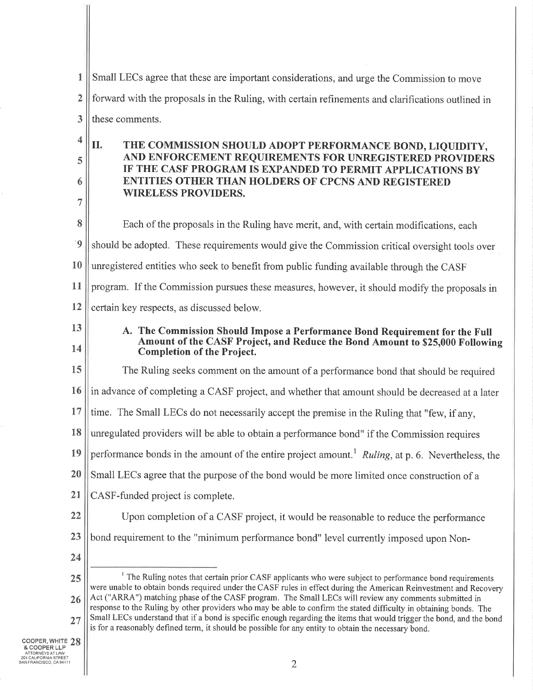| 1              | Small LECs agree that these are important considerations, and urge the Commission to move                                                                                                                                                                                                                                                                                                                                                                    |
|----------------|--------------------------------------------------------------------------------------------------------------------------------------------------------------------------------------------------------------------------------------------------------------------------------------------------------------------------------------------------------------------------------------------------------------------------------------------------------------|
| $\overline{2}$ | forward with the proposals in the Ruling, with certain refinements and clarifications outlined in                                                                                                                                                                                                                                                                                                                                                            |
| 3              | these comments.                                                                                                                                                                                                                                                                                                                                                                                                                                              |
| 4<br>5         | II.<br>THE COMMISSION SHOULD ADOPT PERFORMANCE BOND, LIQUIDITY,<br>AND ENFORCEMENT REQUIREMENTS FOR UNREGISTERED PROVIDERS                                                                                                                                                                                                                                                                                                                                   |
| 6              | IF THE CASF PROGRAM IS EXPANDED TO PERMIT APPLICATIONS BY<br><b>ENTITIES OTHER THAN HOLDERS OF CPCNS AND REGISTERED</b><br><b>WIRELESS PROVIDERS.</b>                                                                                                                                                                                                                                                                                                        |
| 7              |                                                                                                                                                                                                                                                                                                                                                                                                                                                              |
| 8              | Each of the proposals in the Ruling have merit, and, with certain modifications, each                                                                                                                                                                                                                                                                                                                                                                        |
| $\dot{9}$      | should be adopted. These requirements would give the Commission critical oversight tools over                                                                                                                                                                                                                                                                                                                                                                |
| <b>10</b>      | unregistered entities who seek to benefit from public funding available through the CASF                                                                                                                                                                                                                                                                                                                                                                     |
| 11             | program. If the Commission pursues these measures, however, it should modify the proposals in                                                                                                                                                                                                                                                                                                                                                                |
| 12             | certain key respects, as discussed below.                                                                                                                                                                                                                                                                                                                                                                                                                    |
| 13             | A. The Commission Should Impose a Performance Bond Requirement for the Full                                                                                                                                                                                                                                                                                                                                                                                  |
| 14             | Amount of the CASF Project, and Reduce the Bond Amount to \$25,000 Following<br><b>Completion of the Project.</b>                                                                                                                                                                                                                                                                                                                                            |
| 15             | The Ruling seeks comment on the amount of a performance bond that should be required                                                                                                                                                                                                                                                                                                                                                                         |
| 16             | in advance of completing a CASF project, and whether that amount should be decreased at a later                                                                                                                                                                                                                                                                                                                                                              |
| 17             | time. The Small LECs do not necessarily accept the premise in the Ruling that "few, if any,                                                                                                                                                                                                                                                                                                                                                                  |
| 18             | unregulated providers will be able to obtain a performance bond" if the Commission requires                                                                                                                                                                                                                                                                                                                                                                  |
| 19             | performance bonds in the amount of the entire project amount. <sup>1</sup> Ruling, at p. 6. Nevertheless, the                                                                                                                                                                                                                                                                                                                                                |
| 20             | Small LECs agree that the purpose of the bond would be more limited once construction of a                                                                                                                                                                                                                                                                                                                                                                   |
| 21             | CASF-funded project is complete.                                                                                                                                                                                                                                                                                                                                                                                                                             |
| 22             | Upon completion of a CASF project, it would be reasonable to reduce the performance                                                                                                                                                                                                                                                                                                                                                                          |
| 23             | bond requirement to the "minimum performance bond" level currently imposed upon Non-                                                                                                                                                                                                                                                                                                                                                                         |
| 24             |                                                                                                                                                                                                                                                                                                                                                                                                                                                              |
| 25             | <sup>1</sup> The Ruling notes that certain prior CASF applicants who were subject to performance bond requirements<br>were unable to obtain bonds required under the CASF rules in effect during the American Reinvestment and Recovery                                                                                                                                                                                                                      |
| 26<br>27       | Act ("ARRA") matching phase of the CASF program. The Small LECs will review any comments submitted in<br>response to the Ruling by other providers who may be able to confirm the stated difficulty in obtaining bonds. The<br>Small LECs understand that if a bond is specific enough regarding the items that would trigger the bond, and the bond<br>is for a reasonably defined term, it should be possible for any entity to obtain the necessary bond. |

Į.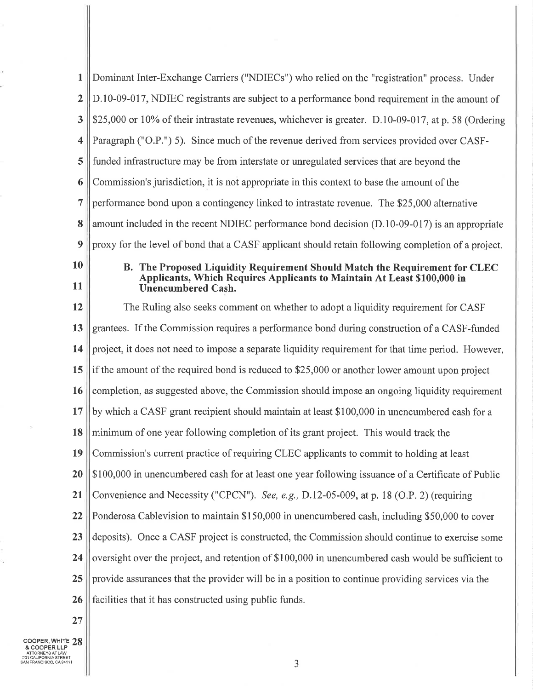| 1              | Dominant Inter-Exchange Carriers ("NDIECs") who relied on the "registration" process. Under                                                                                         |
|----------------|-------------------------------------------------------------------------------------------------------------------------------------------------------------------------------------|
| $\overline{2}$ | D.10-09-017, NDIEC registrants are subject to a performance bond requirement in the amount of                                                                                       |
| 3              | \$25,000 or 10% of their intrastate revenues, whichever is greater. D.10-09-017, at p. 58 (Ordering                                                                                 |
| 4              | Paragraph ("O.P.") 5). Since much of the revenue derived from services provided over CASF-                                                                                          |
| 5              | funded infrastructure may be from interstate or unregulated services that are beyond the                                                                                            |
| 6              | Commission's jurisdiction, it is not appropriate in this context to base the amount of the                                                                                          |
| $\overline{7}$ | performance bond upon a contingency linked to intrastate revenue. The \$25,000 alternative                                                                                          |
| 8              | amount included in the recent NDIEC performance bond decision (D.10-09-017) is an appropriate                                                                                       |
| 9              | proxy for the level of bond that a CASF applicant should retain following completion of a project.                                                                                  |
| 10<br>11       | B. The Proposed Liquidity Requirement Should Match the Requirement for CLEC<br>Applicants, Which Requires Applicants to Maintain At Least \$100,000 in<br><b>Unencumbered Cash.</b> |
| 12             | The Ruling also seeks comment on whether to adopt a liquidity requirement for CASF                                                                                                  |
| 13             | grantees. If the Commission requires a performance bond during construction of a CASF-funded                                                                                        |
| 14             | project, it does not need to impose a separate liquidity requirement for that time period. However,                                                                                 |
| 15             | if the amount of the required bond is reduced to \$25,000 or another lower amount upon project                                                                                      |
| 16             | completion, as suggested above, the Commission should impose an ongoing liquidity requirement                                                                                       |
| 17             | by which a CASF grant recipient should maintain at least \$100,000 in unencumbered cash for a                                                                                       |
| 18             | minimum of one year following completion of its grant project. This would track the                                                                                                 |
| 19             | Commission's current practice of requiring CLEC applicants to commit to holding at least                                                                                            |
| 20             | \$100,000 in unencumbered cash for at least one year following issuance of a Certificate of Public                                                                                  |
| 21             | Convenience and Necessity ("CPCN"). See, e.g., D.12-05-009, at p. 18 (O.P. 2) (requiring                                                                                            |
| 22             | Ponderosa Cablevision to maintain \$150,000 in unencumbered cash, including \$50,000 to cover                                                                                       |
| 23             | deposits). Once a CASF project is constructed, the Commission should continue to exercise some                                                                                      |
| 24             | oversight over the project, and retention of \$100,000 in unencumbered cash would be sufficient to                                                                                  |
| 25             | provide assurances that the provider will be in a position to continue providing services via the                                                                                   |
| 26             | facilities that it has constructed using public funds.                                                                                                                              |
| 27             |                                                                                                                                                                                     |

COOPER, WHITE 28<br>& COOPER LLP<br>ATTORNEYS AT LAW<br>201 CALIFORNIA STREET

Ш

 $\sim$ 

ą.

 $\tilde{\mathcal{S}}$ ł.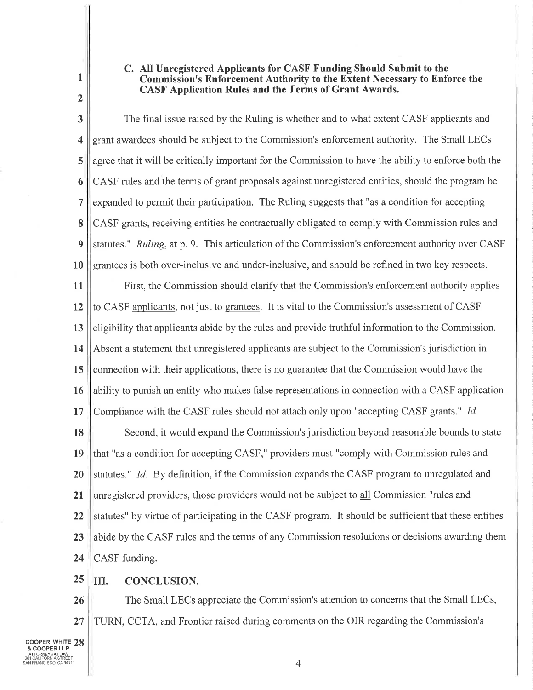## C. All Unregistered Applicants for CASF Funding Should Submit to the **Commission's Enforcement Authority to the Extent Necessary to Enforce the CASF Application Rules and the Terms of Grant Awards.**

The final issue raised by the Ruling is whether and to what extent CASF applicants and  $\overline{\mathbf{3}}$ grant awardees should be subject to the Commission's enforcement authority. The Small LECs 4 5 agree that it will be critically important for the Commission to have the ability to enforce both the CASF rules and the terms of grant proposals against unregistered entities, should the program be 6  $\overline{7}$ expanded to permit their participation. The Ruling suggests that "as a condition for accepting CASF grants, receiving entities be contractually obligated to comply with Commission rules and 8 statutes." Ruling, at p. 9. This articulation of the Commission's enforcement authority over CASF 9 10 grantees is both over-inclusive and under-inclusive, and should be refined in two key respects.

 $11$ First, the Commission should clarify that the Commission's enforcement authority applies to CASF applicants, not just to grantees. It is vital to the Commission's assessment of CASF  $12$ eligibility that applicants abide by the rules and provide truthful information to the Commission. 13 Absent a statement that unregistered applicants are subject to the Commission's jurisdiction in 14 15 connection with their applications, there is no guarantee that the Commission would have the ability to punish an entity who makes false representations in connection with a CASF application. 16 Compliance with the CASF rules should not attach only upon "accepting CASF grants." Id. 17

Second, it would expand the Commission's jurisdiction beyond reasonable bounds to state 18 that "as a condition for accepting CASF," providers must "comply with Commission rules and 19 20 statutes." Id. By definition, if the Commission expands the CASF program to unregulated and unregistered providers, those providers would not be subject to all Commission "rules and  $21$ statutes" by virtue of participating in the CASF program. It should be sufficient that these entities 22 abide by the CASF rules and the terms of any Commission resolutions or decisions awarding them 23 CASF funding. 24

25 Ш. **CONCLUSION.** 

The Small LECs appreciate the Commission's attention to concerns that the Small LECs, 26  $27$ TURN, CCTA, and Frontier raised during comments on the OIR regarding the Commission's

 $\mathbf{1}$ 

 $\overline{2}$ 

 $\overline{4}$